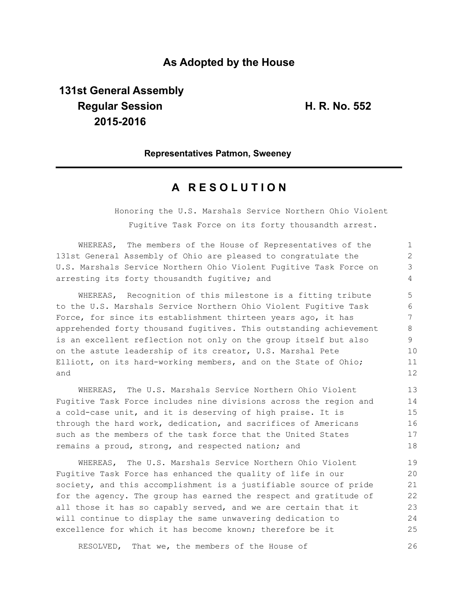# **As Adopted by the House**

# **131st General Assembly Regular Session H. R. No. 552 2015-2016**

### **Representatives Patmon, Sweeney**

## **A R E S O L U T I O N**

Honoring the U.S. Marshals Service Northern Ohio Violent Fugitive Task Force on its forty thousandth arrest.

| WHEREAS, The members of the House of Representatives of the        |    |
|--------------------------------------------------------------------|----|
| 131st General Assembly of Ohio are pleased to congratulate the     |    |
| U.S. Marshals Service Northern Ohio Violent Fugitive Task Force on | 3  |
| arresting its forty thousandth fugitive; and                       | 4  |
| WHEREAS, Recognition of this milestone is a fitting tribute        | 5  |
| to the U.S. Marshals Service Northern Ohio Violent Fugitive Task   | 6  |
| Force, for since its establishment thirteen years ago, it has      |    |
| apprehended forty thousand fugitives. This outstanding achievement | 8  |
| is an excellent reflection not only on the group itself but also   | 9  |
| on the astute leadership of its creator, U.S. Marshal Pete         | 10 |
| Elliott, on its hard-working members, and on the State of Ohio;    | 11 |
| and                                                                | 12 |

WHEREAS, The U.S. Marshals Service Northern Ohio Violent Fugitive Task Force includes nine divisions across the region and a cold-case unit, and it is deserving of high praise. It is through the hard work, dedication, and sacrifices of Americans such as the members of the task force that the United States remains a proud, strong, and respected nation; and

WHEREAS, The U.S. Marshals Service Northern Ohio Violent Fugitive Task Force has enhanced the quality of life in our society, and this accomplishment is a justifiable source of pride for the agency. The group has earned the respect and gratitude of all those it has so capably served, and we are certain that it will continue to display the same unwavering dedication to excellence for which it has become known; therefore be it 19 20 21 22 23 24 25

RESOLVED, That we, the members of the House of 26